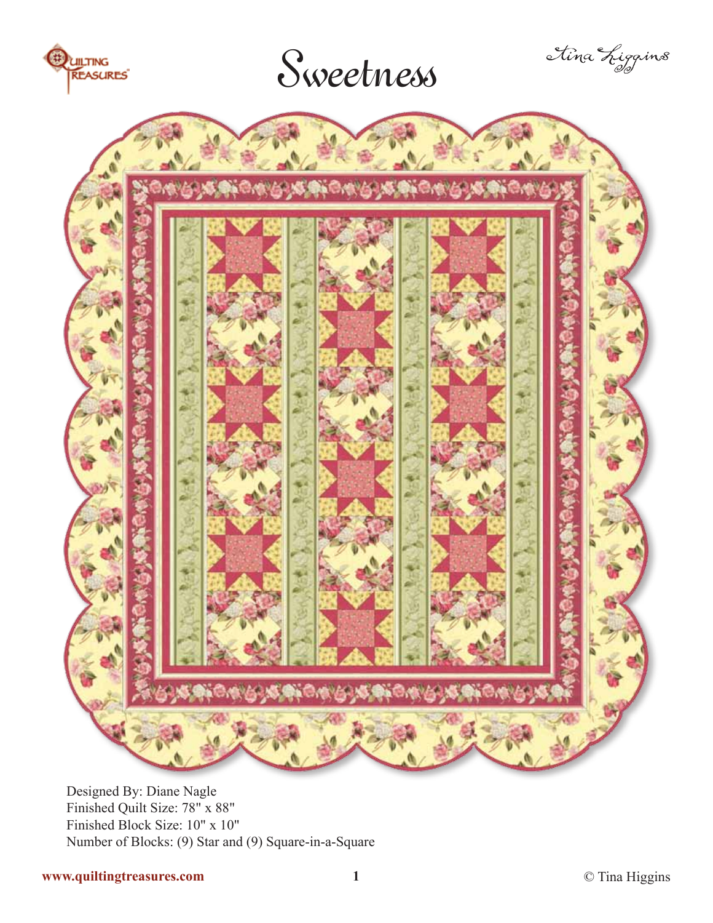

## Sweetness





Designed By: Diane Nagle Finished Quilt Size: 78" x 88" Finished Block Size: 10" x 10" Number of Blocks: (9) Star and (9) Square-in-a-Square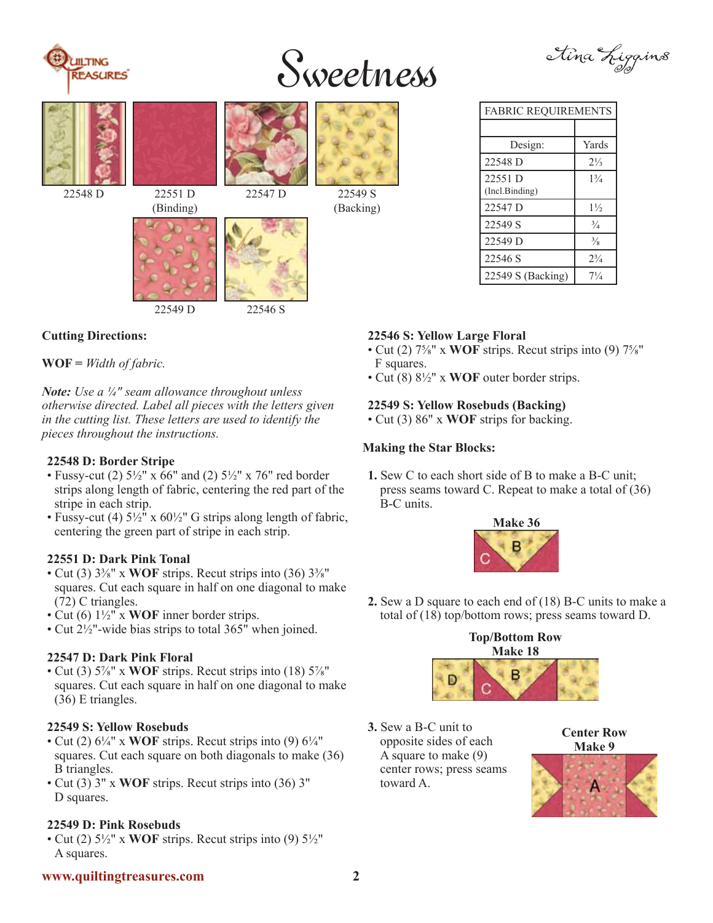

# Sweetness





### **Cutting Directions:**

**WOF =** *Width of fabric.*

*Note: Use a ¼" seam allowance throughout unless otherwise directed. Label all pieces with the letters given in the cutting list. These letters are used to identify the pieces throughout the instructions.*

#### **22548 D: Border Stripe**

- Fussy-cut (2)  $5\frac{1}{2}$ " x  $66$ " and (2)  $5\frac{1}{2}$ " x 76" red border strips along length of fabric, centering the red part of the stripe in each strip.
- Fussy-cut (4)  $5\frac{1}{2}$ " x  $60\frac{1}{2}$ " G strips along length of fabric, centering the green part of stripe in each strip.

#### **22551 D: Dark Pink Tonal**

- Cut (3) 3⅜" x **WOF** strips. Recut strips into (36) 3⅜" squares. Cut each square in half on one diagonal to make (72) C triangles.
- Cut (6) 1½" x **WOF** inner border strips.
- Cut 2<sup>1</sup>/<sub>2</sub>"-wide bias strips to total 365<sup>"</sup> when joined.

#### **22547 D: Dark Pink Floral**

• Cut (3) 5⅞" x **WOF** strips. Recut strips into (18) 5⅞" squares. Cut each square in half on one diagonal to make (36) E triangles.

#### **22549 S: Yellow Rosebuds**

- Cut (2)  $6\frac{1}{4}$ " x **WOF** strips. Recut strips into (9)  $6\frac{1}{4}$ " squares. Cut each square on both diagonals to make (36) B triangles.
- Cut (3) 3" x **WOF** strips. Recut strips into (36) 3" D squares.

#### **22549 D: Pink Rosebuds**

• Cut (2) 5½" x **WOF** strips. Recut strips into (9) 5½" A squares.

| <b>FABRIC REQUIREMENTS</b> |                |
|----------------------------|----------------|
|                            |                |
| Design:                    | Yards          |
| 22548 D                    | $2\frac{1}{3}$ |
| 22551 D<br>(Incl.Binding)  | $1\frac{3}{4}$ |
| 22547 <sub>D</sub>         | $1\frac{1}{2}$ |
| 22549 S                    | $\frac{3}{4}$  |

22549 D  $\frac{3}{8}$ 22546 S 2 $^{3}/_{4}$ 22549 S (Backing) 71/4

#### **22546 S: Yellow Large Floral**

- Cut (2) 7⅝" x **WOF** strips. Recut strips into (9) 7⅝" F squares.
- Cut (8) 8½" x **WOF** outer border strips.

#### **22549 S: Yellow Rosebuds (Backing)**

• Cut (3) 86" x **WOF** strips for backing.

#### **Making the Star Blocks:**

**1.** Sew C to each short side of B to make a B-C unit; press seams toward C. Repeat to make a total of (36) B-C units.



**2.** Sew a D square to each end of (18) B-C units to make a total of (18) top/bottom rows; press seams toward D.



**3.** Sew a B-C unit to opposite sides of each A square to make (9) center rows; press seams toward A.

**Center Row Make 9**



#### **www.quiltingtreasures.com 2**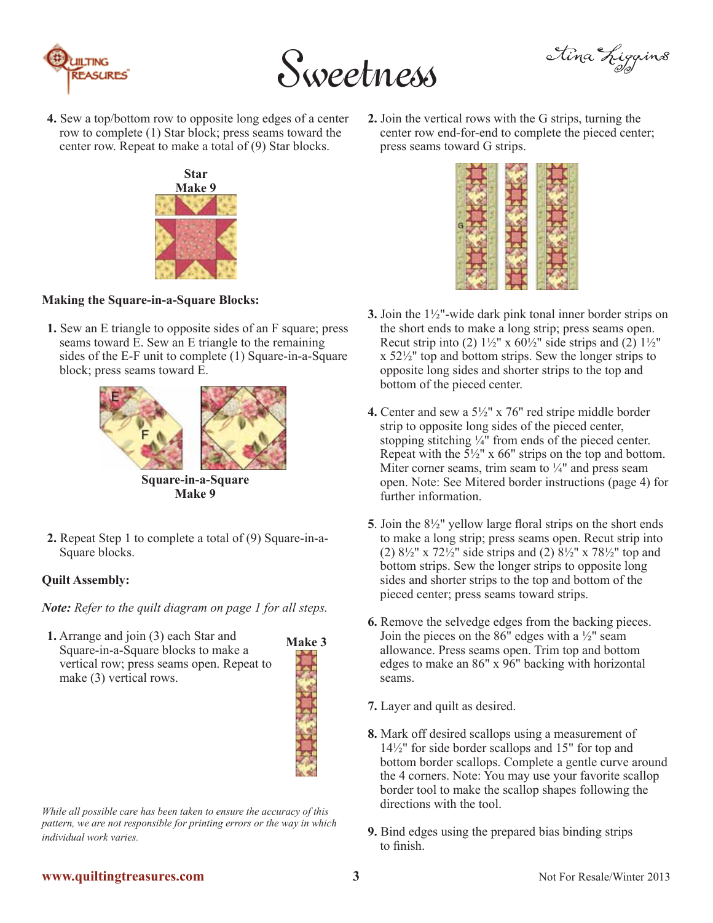



Iina Liggins

**4.** Sew a top/bottom row to opposite long edges of a center row to complete (1) Star block; press seams toward the center row. Repeat to make a total of (9) Star blocks.



#### **Making the Square-in-a-Square Blocks:**

**1.** Sew an E triangle to opposite sides of an F square; press seams toward E. Sew an E triangle to the remaining sides of the E-F unit to complete (1) Square-in-a-Square block; press seams toward E.



**Square-in-a-Square Make 9**

**2.** Repeat Step 1 to complete a total of (9) Square-in-a-Square blocks.

#### **Quilt Assembly:**

*Note: Refer to the quilt diagram on page 1 for all steps.*

**1.** Arrange and join (3) each Star and Square-in-a-Square blocks to make a vertical row; press seams open. Repeat to make (3) vertical rows.



*While all possible care has been taken to ensure the accuracy of this pattern, we are not responsible for printing errors or the way in which individual work varies.*

**2.** Join the vertical rows with the G strips, turning the center row end-for-end to complete the pieced center; press seams toward G strips.



- **3.** Join the 1½"-wide dark pink tonal inner border strips on the short ends to make a long strip; press seams open. Recut strip into (2)  $1\frac{1}{2}$ " x  $60\frac{1}{2}$ " side strips and (2)  $1\frac{1}{2}$ " x 52½" top and bottom strips. Sew the longer strips to opposite long sides and shorter strips to the top and bottom of the pieced center.
- **4.** Center and sew a 5½" x 76" red stripe middle border strip to opposite long sides of the pieced center, stopping stitching ¼" from ends of the pieced center. Repeat with the  $\overline{5}$ <sup>1</sup>/<sub>2</sub>" x 66" strips on the top and bottom. Miter corner seams, trim seam to  $\frac{1}{4}$ " and press seam open. Note: See Mitered border instructions (page 4) for further information.
- **5**. Join the 8½" yellow large floral strips on the short ends to make a long strip; press seams open. Recut strip into (2)  $8\frac{1}{2}$ " x  $72\frac{1}{2}$ " side strips and (2)  $8\frac{1}{2}$ " x  $78\frac{1}{2}$ " top and bottom strips. Sew the longer strips to opposite long sides and shorter strips to the top and bottom of the pieced center; press seams toward strips.
- **6.** Remove the selvedge edges from the backing pieces. Join the pieces on the  $86$ " edges with a  $\frac{1}{2}$ " seam allowance. Press seams open. Trim top and bottom edges to make an 86" x 96" backing with horizontal seams.
- **7.** Layer and quilt as desired.
- **8.** Mark off desired scallops using a measurement of 14½" for side border scallops and 15" for top and bottom border scallops. Complete a gentle curve around the 4 corners. Note: You may use your favorite scallop border tool to make the scallop shapes following the directions with the tool.
- **9.** Bind edges using the prepared bias binding strips to finish.